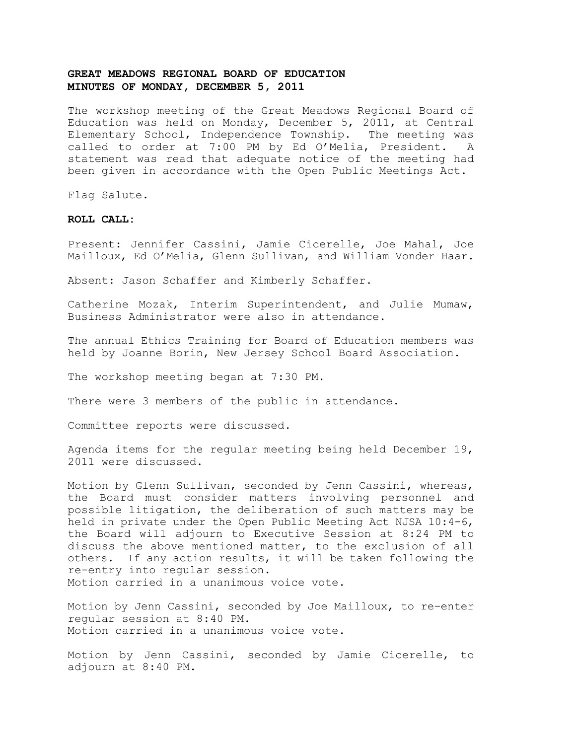## **GREAT MEADOWS REGIONAL BOARD OF EDUCATION MINUTES OF MONDAY, DECEMBER 5, 2011**

The workshop meeting of the Great Meadows Regional Board of Education was held on Monday, December 5, 2011, at Central Elementary School, Independence Township. The meeting was called to order at 7:00 PM by Ed O'Melia, President. A statement was read that adequate notice of the meeting had been given in accordance with the Open Public Meetings Act.

Flag Salute.

## **ROLL CALL:**

Present: Jennifer Cassini, Jamie Cicerelle, Joe Mahal, Joe Mailloux, Ed O'Melia, Glenn Sullivan, and William Vonder Haar.

Absent: Jason Schaffer and Kimberly Schaffer.

Catherine Mozak, Interim Superintendent, and Julie Mumaw, Business Administrator were also in attendance.

The annual Ethics Training for Board of Education members was held by Joanne Borin, New Jersey School Board Association.

The workshop meeting began at 7:30 PM.

There were 3 members of the public in attendance.

Committee reports were discussed.

Agenda items for the regular meeting being held December 19, 2011 were discussed.

Motion by Glenn Sullivan, seconded by Jenn Cassini, whereas, the Board must consider matters involving personnel and possible litigation, the deliberation of such matters may be held in private under the Open Public Meeting Act NJSA 10:4-6, the Board will adjourn to Executive Session at 8:24 PM to discuss the above mentioned matter, to the exclusion of all others. If any action results, it will be taken following the re-entry into regular session. Motion carried in a unanimous voice vote.

Motion by Jenn Cassini, seconded by Joe Mailloux, to re-enter regular session at 8:40 PM. Motion carried in a unanimous voice vote.

Motion by Jenn Cassini, seconded by Jamie Cicerelle, to adjourn at 8:40 PM.